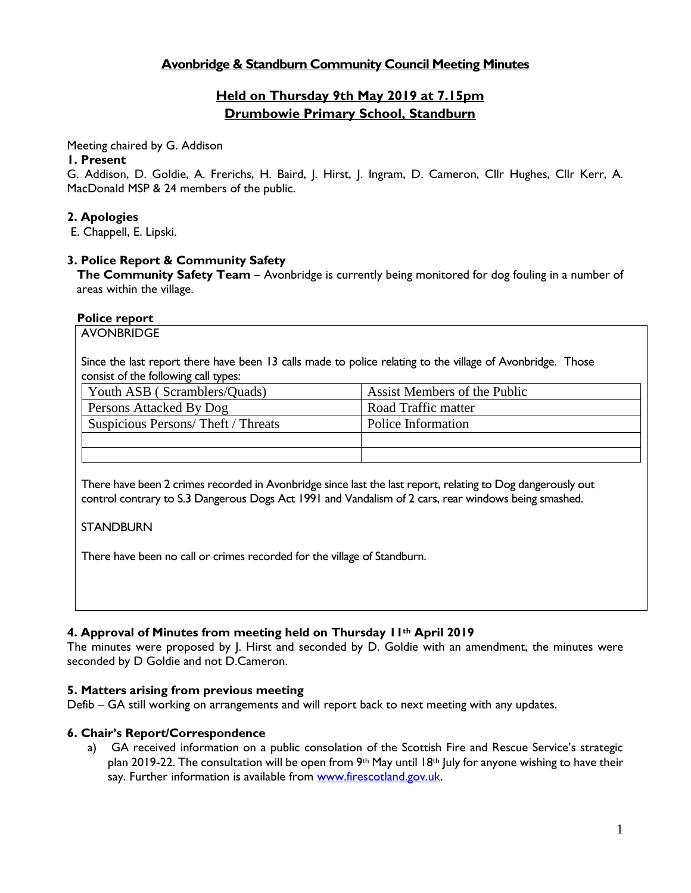# **Avonbridge & Standburn Community Council Meeting Minutes**

# **Held on Thursday 9th May 2019 at 7.15pm Drumbowie Primary School, Standburn**

Meeting chaired by G. Addison

#### **1. Present**

G. Addison, D. Goldie, A. Frerichs, H. Baird, J. Hirst, J. Ingram, D. Cameron, Cllr Hughes, Cllr Kerr, A. MacDonald MSP & 24 members of the public.

### **2. Apologies**

E. Chappell, E. Lipski.

### **3. Police Report & Community Safety**

**The Community Safety Team** – Avonbridge is currently being monitored for dog fouling in a number of areas within the village.

#### **Police report**

AVONBRIDGE

Since the last report there have been 13 calls made to police relating to the village of Avonbridge. Those consist of the following call types:

| Youth ASB (Scramblers/Quads)       | Assist Members of the Public |
|------------------------------------|------------------------------|
| Persons Attacked By Dog            | Road Traffic matter          |
| Suspicious Persons/Theft / Threats | Police Information           |
|                                    |                              |
|                                    |                              |

There have been 2 crimes recorded in Avonbridge since last the last report, relating to Dog dangerously out control contrary to S.3 Dangerous Dogs Act 1991 and Vandalism of 2 cars, rear windows being smashed.

### **STANDBURN**

There have been no call or crimes recorded for the village of Standburn.

### **4. Approval of Minutes from meeting held on Thursday 11th April 2019**

The minutes were proposed by J. Hirst and seconded by D. Goldie with an amendment, the minutes were seconded by D Goldie and not D.Cameron.

### **5. Matters arising from previous meeting**

Defib – GA still working on arrangements and will report back to next meeting with any updates.

### **6. Chair's Report/Correspondence**

a) GA received information on a public consolation of the Scottish Fire and Rescue Service's strategic plan 2019-22. The consultation will be open from 9<sup>th</sup> May until 18<sup>th</sup> July for anyone wishing to have their say. Further information is available from [www.firescotland.gov.uk.](http://www.firescotland.gov.uk/)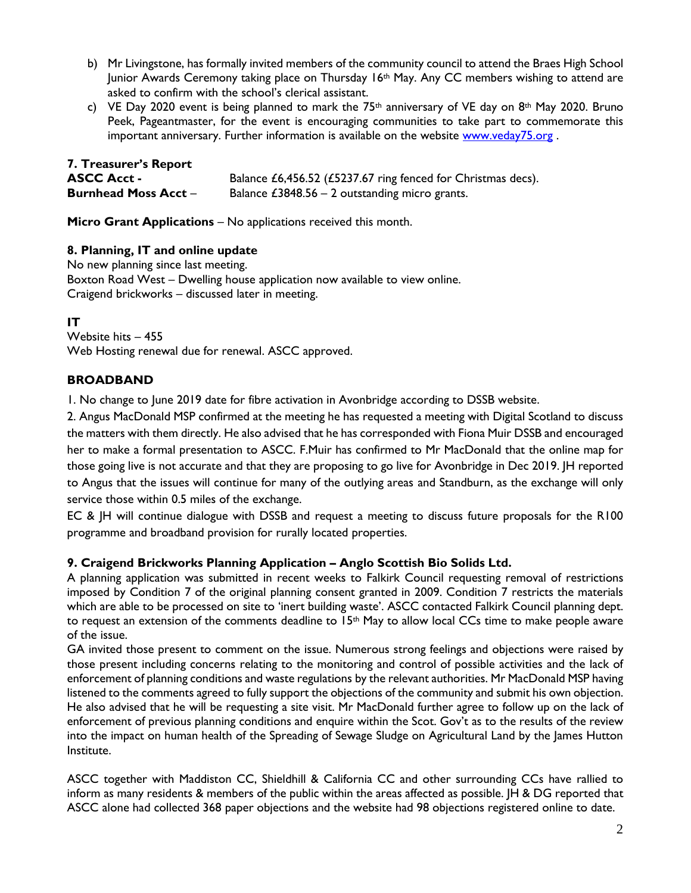- b) Mr Livingstone, has formally invited members of the community council to attend the Braes High School Junior Awards Ceremony taking place on Thursday 16th May. Any CC members wishing to attend are asked to confirm with the school's clerical assistant.
- c) VE Day 2020 event is being planned to mark the 75<sup>th</sup> anniversary of VE day on 8<sup>th</sup> May 2020. Bruno Peek, Pageantmaster, for the event is encouraging communities to take part to commemorate this important anniversary. Further information is available on the website [www.veday75.org](http://www.veday75.org/).

| <b>7. Treasurer's Report</b> |                                                              |
|------------------------------|--------------------------------------------------------------|
| <b>ASCC Acct -</b>           | Balance £6,456.52 (£5237.67 ring fenced for Christmas decs). |
| <b>Burnhead Moss Acct -</b>  | Balance $£3848.56 - 2$ outstanding micro grants.             |

**Micro Grant Applications** – No applications received this month.

### **8. Planning, IT and online update**

No new planning since last meeting. Boxton Road West – Dwelling house application now available to view online. Craigend brickworks – discussed later in meeting.

## **IT**

Website hits – 455 Web Hosting renewal due for renewal. ASCC approved.

### **BROADBAND**

1. No change to June 2019 date for fibre activation in Avonbridge according to DSSB website.

2. Angus MacDonald MSP confirmed at the meeting he has requested a meeting with Digital Scotland to discuss the matters with them directly. He also advised that he has corresponded with Fiona Muir DSSB and encouraged her to make a formal presentation to ASCC. F.Muir has confirmed to Mr MacDonald that the online map for those going live is not accurate and that they are proposing to go live for Avonbridge in Dec 2019. JH reported to Angus that the issues will continue for many of the outlying areas and Standburn, as the exchange will only service those within 0.5 miles of the exchange.

EC & JH will continue dialogue with DSSB and request a meeting to discuss future proposals for the R100 programme and broadband provision for rurally located properties.

### **9. Craigend Brickworks Planning Application – Anglo Scottish Bio Solids Ltd.**

A planning application was submitted in recent weeks to Falkirk Council requesting removal of restrictions imposed by Condition 7 of the original planning consent granted in 2009. Condition 7 restricts the materials which are able to be processed on site to 'inert building waste'. ASCC contacted Falkirk Council planning dept. to request an extension of the comments deadline to  $15<sup>th</sup>$  May to allow local CCs time to make people aware of the issue.

GA invited those present to comment on the issue. Numerous strong feelings and objections were raised by those present including concerns relating to the monitoring and control of possible activities and the lack of enforcement of planning conditions and waste regulations by the relevant authorities. Mr MacDonald MSP having listened to the comments agreed to fully support the objections of the community and submit his own objection. He also advised that he will be requesting a site visit. Mr MacDonald further agree to follow up on the lack of enforcement of previous planning conditions and enquire within the Scot. Gov't as to the results of the review into the impact on human health of the Spreading of Sewage Sludge on Agricultural Land by the James Hutton Institute.

ASCC together with Maddiston CC, Shieldhill & California CC and other surrounding CCs have rallied to inform as many residents & members of the public within the areas affected as possible. JH & DG reported that ASCC alone had collected 368 paper objections and the website had 98 objections registered online to date.